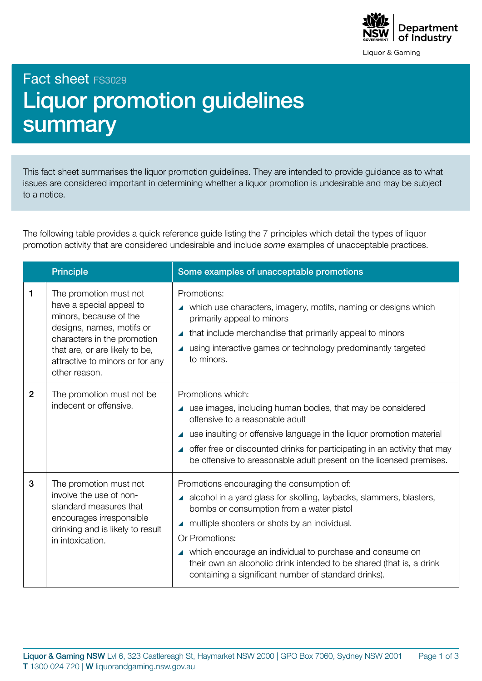

Liquor & Gaming

Fact sheet FS3029

## Liquor promotion guidelines summary

This fact sheet summarises the liquor promotion guidelines. They are intended to provide guidance as to what issues are considered important in determining whether a liquor promotion is undesirable and may be subject to a notice.

The following table provides a quick reference guide listing the 7 principles which detail the types of liquor promotion activity that are considered undesirable and include *some* examples of unacceptable practices.

|                | <b>Principle</b>                                                                                                                                                                                                               | Some examples of unacceptable promotions                                                                                                                                                                                                                                                                                                                                                                                        |
|----------------|--------------------------------------------------------------------------------------------------------------------------------------------------------------------------------------------------------------------------------|---------------------------------------------------------------------------------------------------------------------------------------------------------------------------------------------------------------------------------------------------------------------------------------------------------------------------------------------------------------------------------------------------------------------------------|
| 1              | The promotion must not<br>have a special appeal to<br>minors, because of the<br>designs, names, motifs or<br>characters in the promotion<br>that are, or are likely to be,<br>attractive to minors or for any<br>other reason. | Promotions:<br>▲ which use characters, imagery, motifs, naming or designs which<br>primarily appeal to minors<br>that include merchandise that primarily appeal to minors<br>using interactive games or technology predominantly targeted<br>to minors.                                                                                                                                                                         |
| $\overline{2}$ | The promotion must not be<br>indecent or offensive.                                                                                                                                                                            | Promotions which:<br>▲ use images, including human bodies, that may be considered<br>offensive to a reasonable adult<br>▲ use insulting or offensive language in the liquor promotion material<br>▲ offer free or discounted drinks for participating in an activity that may<br>be offensive to areasonable adult present on the licensed premises.                                                                            |
| 3              | The promotion must not<br>involve the use of non-<br>standard measures that<br>encourages irresponsible<br>drinking and is likely to result<br>in intoxication.                                                                | Promotions encouraging the consumption of:<br>▲ alcohol in a yard glass for skolling, laybacks, slammers, blasters,<br>bombs or consumption from a water pistol<br>multiple shooters or shots by an individual.<br>Or Promotions:<br>▲ which encourage an individual to purchase and consume on<br>their own an alcoholic drink intended to be shared (that is, a drink<br>containing a significant number of standard drinks). |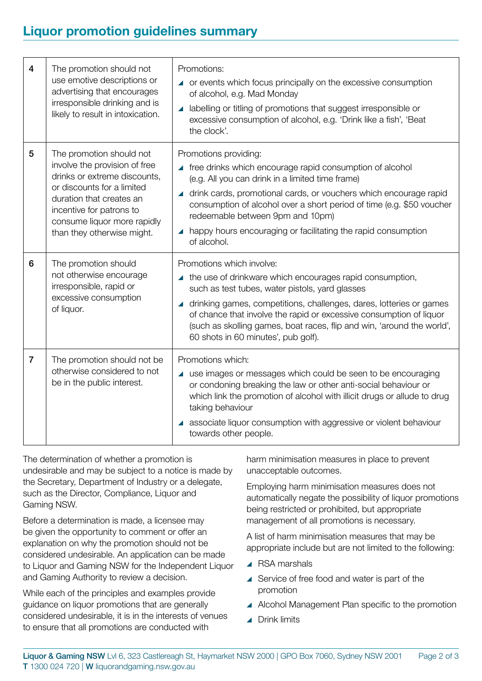## **Liquor promotion guidelines summary**

| 4              | The promotion should not<br>use emotive descriptions or<br>advertising that encourages<br>irresponsible drinking and is<br>likely to result in intoxication.                                                                                 | Promotions:<br>▲ or events which focus principally on the excessive consumption<br>of alcohol, e.g. Mad Monday<br>labelling or titling of promotions that suggest irresponsible or<br>$\blacktriangle$<br>excessive consumption of alcohol, e.g. 'Drink like a fish', 'Beat<br>the clock'.                                                                                                                  |
|----------------|----------------------------------------------------------------------------------------------------------------------------------------------------------------------------------------------------------------------------------------------|-------------------------------------------------------------------------------------------------------------------------------------------------------------------------------------------------------------------------------------------------------------------------------------------------------------------------------------------------------------------------------------------------------------|
| 5              | The promotion should not<br>involve the provision of free<br>drinks or extreme discounts,<br>or discounts for a limited<br>duration that creates an<br>incentive for patrons to<br>consume liquor more rapidly<br>than they otherwise might. | Promotions providing:<br>▲ free drinks which encourage rapid consumption of alcohol<br>(e.g. All you can drink in a limited time frame)<br>▲ drink cards, promotional cards, or vouchers which encourage rapid<br>consumption of alcohol over a short period of time (e.g. \$50 voucher<br>redeemable between 9pm and 10pm)<br>happy hours encouraging or facilitating the rapid consumption<br>of alcohol. |
| 6              | The promotion should<br>not otherwise encourage<br>irresponsible, rapid or<br>excessive consumption<br>of liquor.                                                                                                                            | Promotions which involve:<br>▲ the use of drinkware which encourages rapid consumption,<br>such as test tubes, water pistols, yard glasses<br>drinking games, competitions, challenges, dares, lotteries or games<br>of chance that involve the rapid or excessive consumption of liquor<br>(such as skolling games, boat races, flip and win, 'around the world',<br>60 shots in 60 minutes', pub golf).   |
| $\overline{7}$ | The promotion should not be<br>otherwise considered to not<br>be in the public interest.                                                                                                                                                     | Promotions which:<br>▲ use images or messages which could be seen to be encouraging<br>or condoning breaking the law or other anti-social behaviour or<br>which link the promotion of alcohol with illicit drugs or allude to drug<br>taking behaviour<br>▲ associate liquor consumption with aggressive or violent behaviour<br>towards other people.                                                      |

The determination of whether a promotion is undesirable and may be subject to a notice is made by the Secretary, Department of Industry or a delegate, such as the Director, Compliance, Liquor and Gaming NSW.

Before a determination is made, a licensee may be given the opportunity to comment or offer an explanation on why the promotion should not be considered undesirable. An application can be made to Liquor and Gaming NSW for the Independent Liquor and Gaming Authority to review a decision.

While each of the principles and examples provide guidance on liquor promotions that are generally considered undesirable, it is in the interests of venues to ensure that all promotions are conducted with

harm minimisation measures in place to prevent unacceptable outcomes.

Employing harm minimisation measures does not automatically negate the possibility of liquor promotions being restricted or prohibited, but appropriate management of all promotions is necessary.

A list of harm minimisation measures that may be appropriate include but are not limited to the following:

- ▲ RSA marshals
- ▲ Service of free food and water is part of the promotion
- ▲ Alcohol Management Plan specific to the promotion
- **4** Drink limits